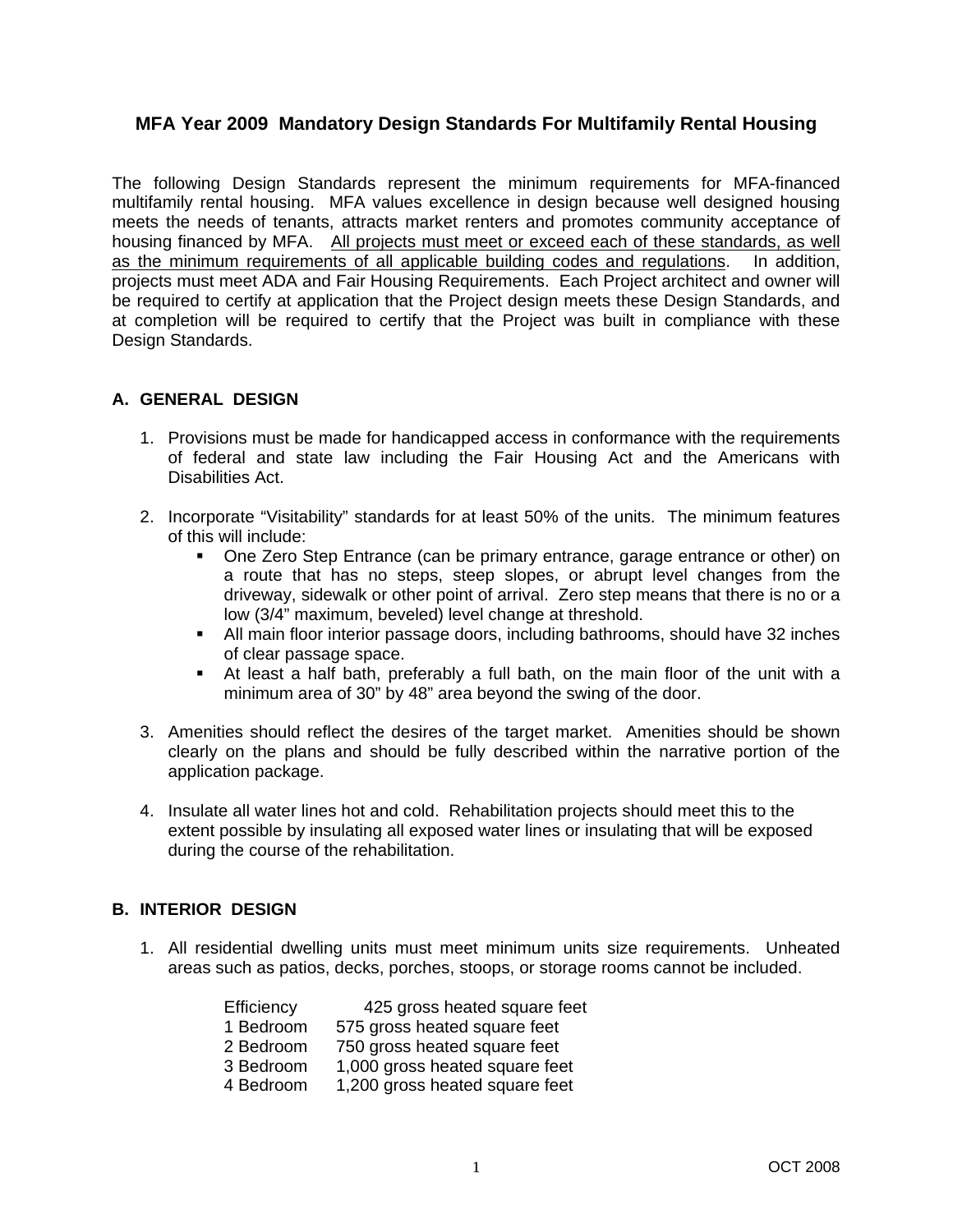# **MFA Year 2009 Mandatory Design Standards For Multifamily Rental Housing**

The following Design Standards represent the minimum requirements for MFA-financed multifamily rental housing. MFA values excellence in design because well designed housing meets the needs of tenants, attracts market renters and promotes community acceptance of housing financed by MFA. All projects must meet or exceed each of these standards, as well as the minimum requirements of all applicable building codes and regulations. In addition, projects must meet ADA and Fair Housing Requirements. Each Project architect and owner will be required to certify at application that the Project design meets these Design Standards, and at completion will be required to certify that the Project was built in compliance with these Design Standards.

#### **A. GENERAL DESIGN**

- 1. Provisions must be made for handicapped access in conformance with the requirements of federal and state law including the Fair Housing Act and the Americans with Disabilities Act.
- 2. Incorporate "Visitability" standards for at least 50% of the units. The minimum features of this will include:
	- One Zero Step Entrance (can be primary entrance, garage entrance or other) on a route that has no steps, steep slopes, or abrupt level changes from the driveway, sidewalk or other point of arrival. Zero step means that there is no or a low (3/4" maximum, beveled) level change at threshold.
	- All main floor interior passage doors, including bathrooms, should have 32 inches of clear passage space.
	- At least a half bath, preferably a full bath, on the main floor of the unit with a minimum area of 30" by 48" area beyond the swing of the door.
- 3. Amenities should reflect the desires of the target market. Amenities should be shown clearly on the plans and should be fully described within the narrative portion of the application package.
- 4. Insulate all water lines hot and cold. Rehabilitation projects should meet this to the extent possible by insulating all exposed water lines or insulating that will be exposed during the course of the rehabilitation.

### **B. INTERIOR DESIGN**

1. All residential dwelling units must meet minimum units size requirements. Unheated areas such as patios, decks, porches, stoops, or storage rooms cannot be included.

| Efficiency | 425 gross heated square feet   |
|------------|--------------------------------|
| 1 Bedroom  | 575 gross heated square feet   |
| 2 Bedroom  | 750 gross heated square feet   |
| 3 Bedroom  | 1,000 gross heated square feet |
| 4 Bedroom  | 1,200 gross heated square feet |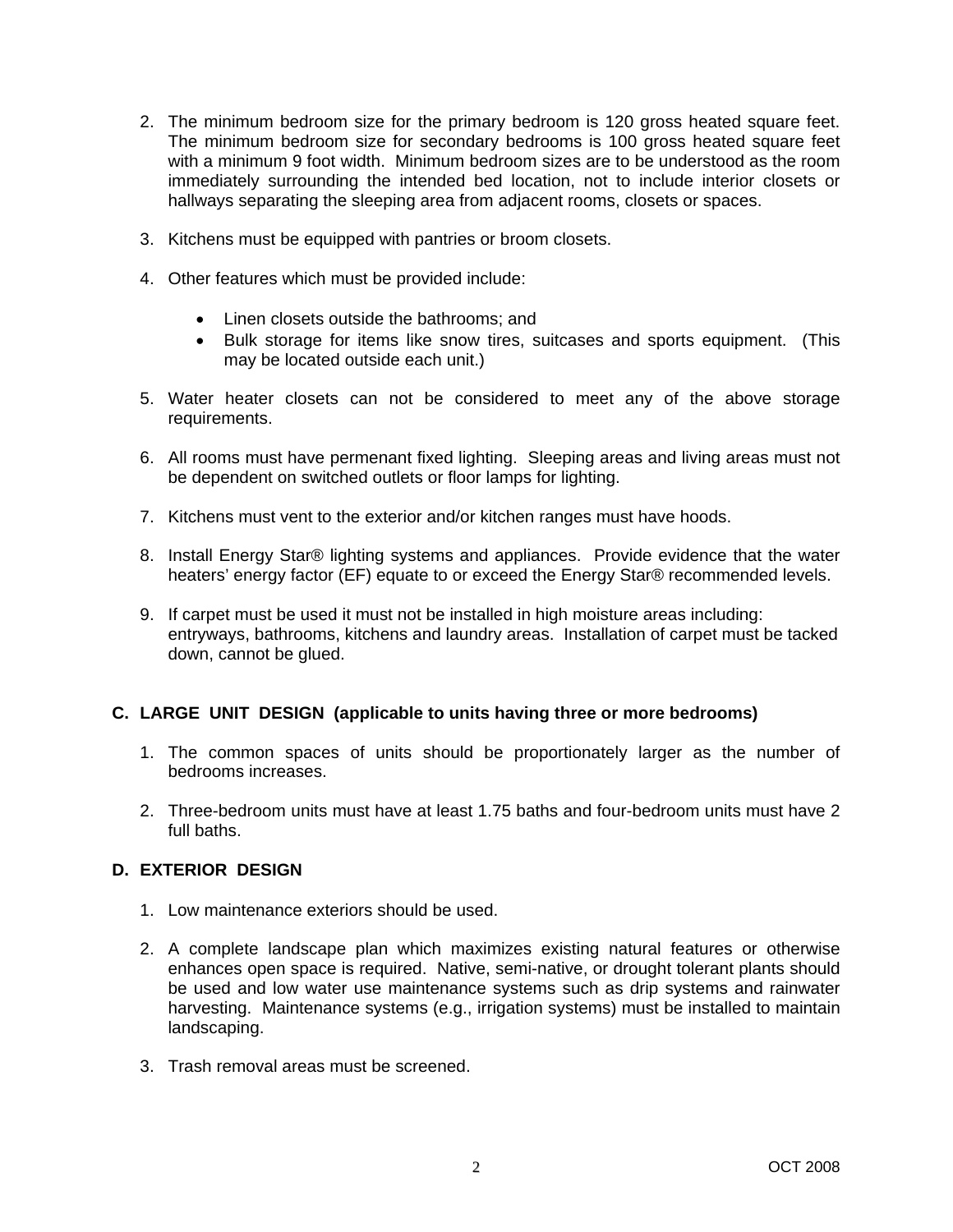- 2. The minimum bedroom size for the primary bedroom is 120 gross heated square feet. The minimum bedroom size for secondary bedrooms is 100 gross heated square feet with a minimum 9 foot width. Minimum bedroom sizes are to be understood as the room immediately surrounding the intended bed location, not to include interior closets or hallways separating the sleeping area from adjacent rooms, closets or spaces.
- 3. Kitchens must be equipped with pantries or broom closets.
- 4. Other features which must be provided include:
	- Linen closets outside the bathrooms; and
	- Bulk storage for items like snow tires, suitcases and sports equipment. (This may be located outside each unit.)
- 5. Water heater closets can not be considered to meet any of the above storage requirements.
- 6. All rooms must have permenant fixed lighting. Sleeping areas and living areas must not be dependent on switched outlets or floor lamps for lighting.
- 7. Kitchens must vent to the exterior and/or kitchen ranges must have hoods.
- 8. Install Energy Star® lighting systems and appliances. Provide evidence that the water heaters' energy factor (EF) equate to or exceed the Energy Star® recommended levels.
- 9. If carpet must be used it must not be installed in high moisture areas including: entryways, bathrooms, kitchens and laundry areas. Installation of carpet must be tacked down, cannot be glued.

### **C. LARGE UNIT DESIGN (applicable to units having three or more bedrooms)**

- 1. The common spaces of units should be proportionately larger as the number of bedrooms increases.
- 2. Three-bedroom units must have at least 1.75 baths and four-bedroom units must have 2 full baths.

### **D. EXTERIOR DESIGN**

- 1. Low maintenance exteriors should be used.
- 2. A complete landscape plan which maximizes existing natural features or otherwise enhances open space is required. Native, semi-native, or drought tolerant plants should be used and low water use maintenance systems such as drip systems and rainwater harvesting. Maintenance systems (e.g., irrigation systems) must be installed to maintain landscaping.
- 3. Trash removal areas must be screened.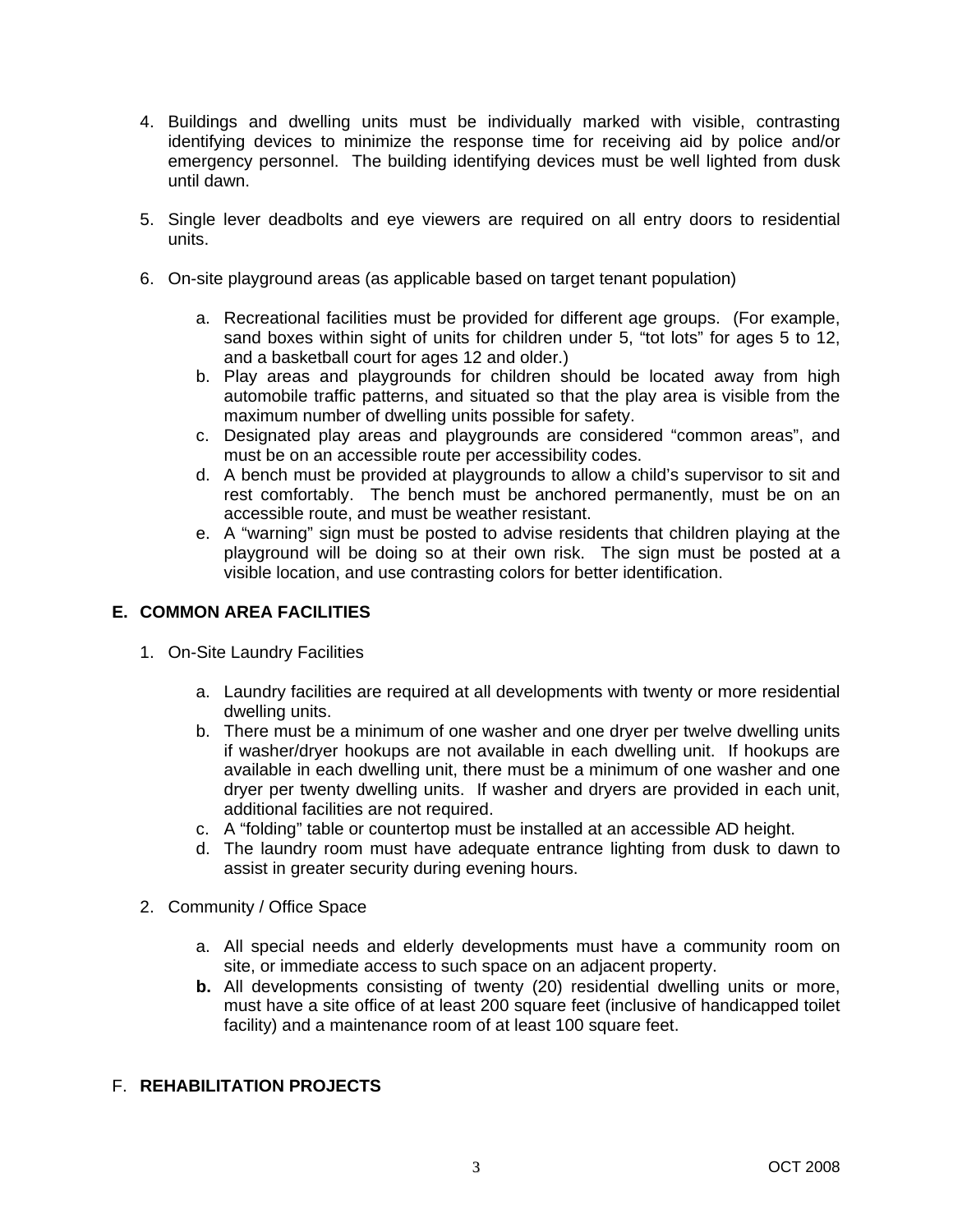- 4. Buildings and dwelling units must be individually marked with visible, contrasting identifying devices to minimize the response time for receiving aid by police and/or emergency personnel. The building identifying devices must be well lighted from dusk until dawn.
- 5. Single lever deadbolts and eye viewers are required on all entry doors to residential units.
- 6. On-site playground areas (as applicable based on target tenant population)
	- a. Recreational facilities must be provided for different age groups. (For example, sand boxes within sight of units for children under 5, "tot lots" for ages 5 to 12, and a basketball court for ages 12 and older.)
	- b. Play areas and playgrounds for children should be located away from high automobile traffic patterns, and situated so that the play area is visible from the maximum number of dwelling units possible for safety.
	- c. Designated play areas and playgrounds are considered "common areas", and must be on an accessible route per accessibility codes.
	- d. A bench must be provided at playgrounds to allow a child's supervisor to sit and rest comfortably. The bench must be anchored permanently, must be on an accessible route, and must be weather resistant.
	- e. A "warning" sign must be posted to advise residents that children playing at the playground will be doing so at their own risk. The sign must be posted at a visible location, and use contrasting colors for better identification.

## **E. COMMON AREA FACILITIES**

- 1. On-Site Laundry Facilities
	- a. Laundry facilities are required at all developments with twenty or more residential dwelling units.
	- b. There must be a minimum of one washer and one dryer per twelve dwelling units if washer/dryer hookups are not available in each dwelling unit. If hookups are available in each dwelling unit, there must be a minimum of one washer and one dryer per twenty dwelling units. If washer and dryers are provided in each unit, additional facilities are not required.
	- c. A "folding" table or countertop must be installed at an accessible AD height.
	- d. The laundry room must have adequate entrance lighting from dusk to dawn to assist in greater security during evening hours.
- 2. Community / Office Space
	- a. All special needs and elderly developments must have a community room on site, or immediate access to such space on an adjacent property.
	- **b.** All developments consisting of twenty (20) residential dwelling units or more, must have a site office of at least 200 square feet (inclusive of handicapped toilet facility) and a maintenance room of at least 100 square feet.

# F. **REHABILITATION PROJECTS**